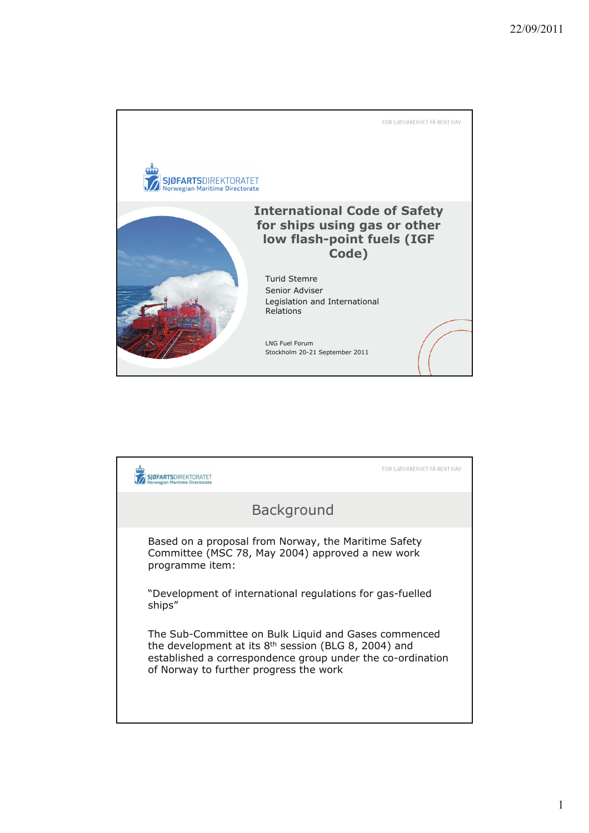

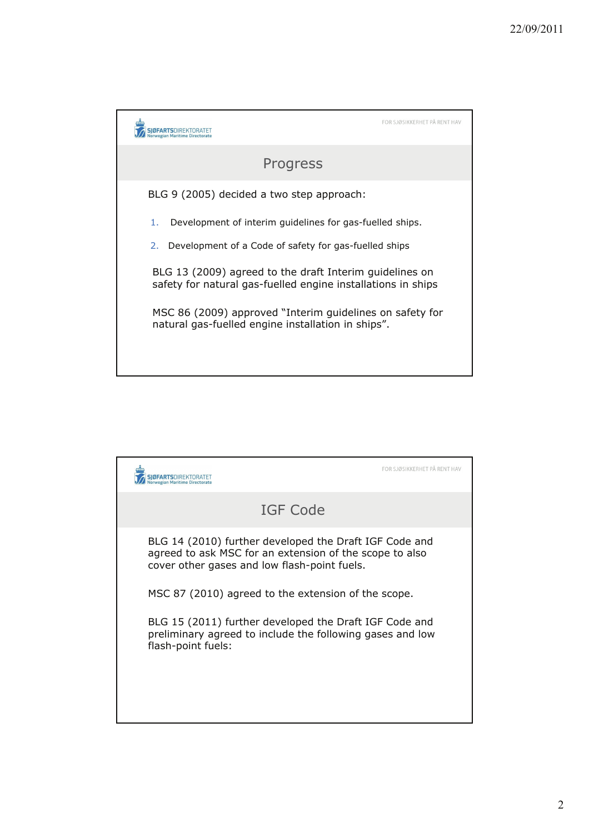|                                                                                                                         | FOR SJØSIKKERHET PÅ RENT HAV |
|-------------------------------------------------------------------------------------------------------------------------|------------------------------|
| Progress                                                                                                                |                              |
| BLG 9 (2005) decided a two step approach:                                                                               |                              |
| Development of interim guidelines for gas-fuelled ships.<br>1.                                                          |                              |
| Development of a Code of safety for gas-fuelled ships<br>2.                                                             |                              |
| BLG 13 (2009) agreed to the draft Interim guidelines on<br>safety for natural gas-fuelled engine installations in ships |                              |
| MSC 86 (2009) approved "Interim guidelines on safety for<br>natural gas-fuelled engine installation in ships".          |                              |

|                                                                                                                                                                   | FOR SJØSIKKERHET PÅ RENT HAV |
|-------------------------------------------------------------------------------------------------------------------------------------------------------------------|------------------------------|
| IGF Code                                                                                                                                                          |                              |
| BLG 14 (2010) further developed the Draft IGF Code and<br>agreed to ask MSC for an extension of the scope to also<br>cover other gases and low flash-point fuels. |                              |
| MSC 87 (2010) agreed to the extension of the scope.                                                                                                               |                              |
| BLG 15 (2011) further developed the Draft IGF Code and<br>preliminary agreed to include the following gases and low<br>flash-point fuels:                         |                              |
|                                                                                                                                                                   |                              |
|                                                                                                                                                                   |                              |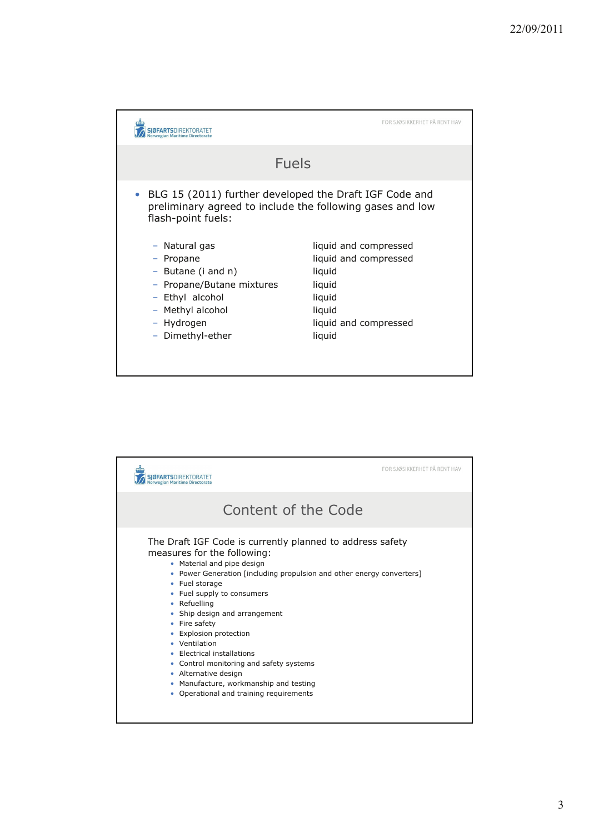

|   |                                                                                                                                                                                                                                                                                                                                                                                                                                                                                                                                                  | FOR SJØSIKKERHET PÅ RENT HAV |
|---|--------------------------------------------------------------------------------------------------------------------------------------------------------------------------------------------------------------------------------------------------------------------------------------------------------------------------------------------------------------------------------------------------------------------------------------------------------------------------------------------------------------------------------------------------|------------------------------|
|   | Content of the Code                                                                                                                                                                                                                                                                                                                                                                                                                                                                                                                              |                              |
| ٠ | The Draft IGF Code is currently planned to address safety<br>measures for the following:<br>• Material and pipe design<br>• Power Generation [including propulsion and other energy converters]<br>• Fuel storage<br>• Fuel supply to consumers<br>• Refuelling<br>• Ship design and arrangement<br>• Fire safety<br>• Explosion protection<br>• Ventilation<br>Electrical installations<br>• Control monitoring and safety systems<br>• Alternative design<br>• Manufacture, workmanship and testing<br>• Operational and training requirements |                              |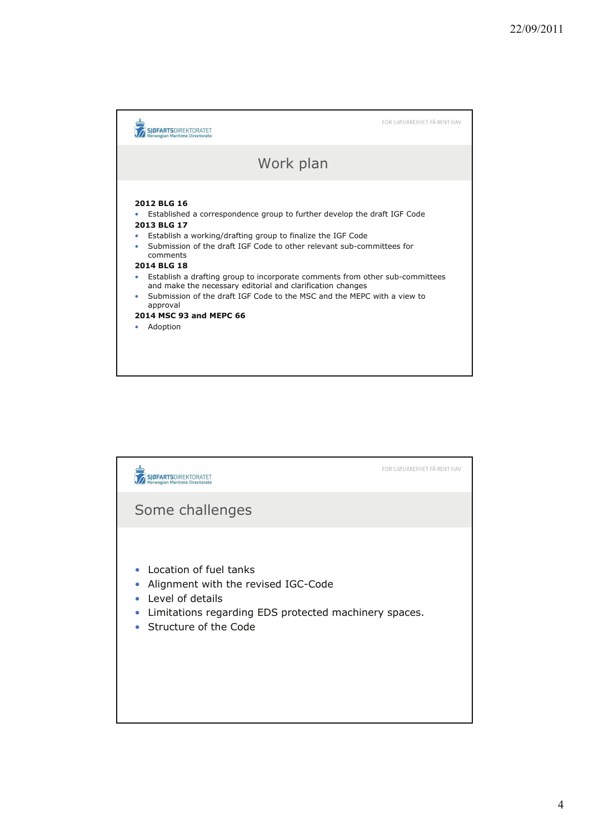